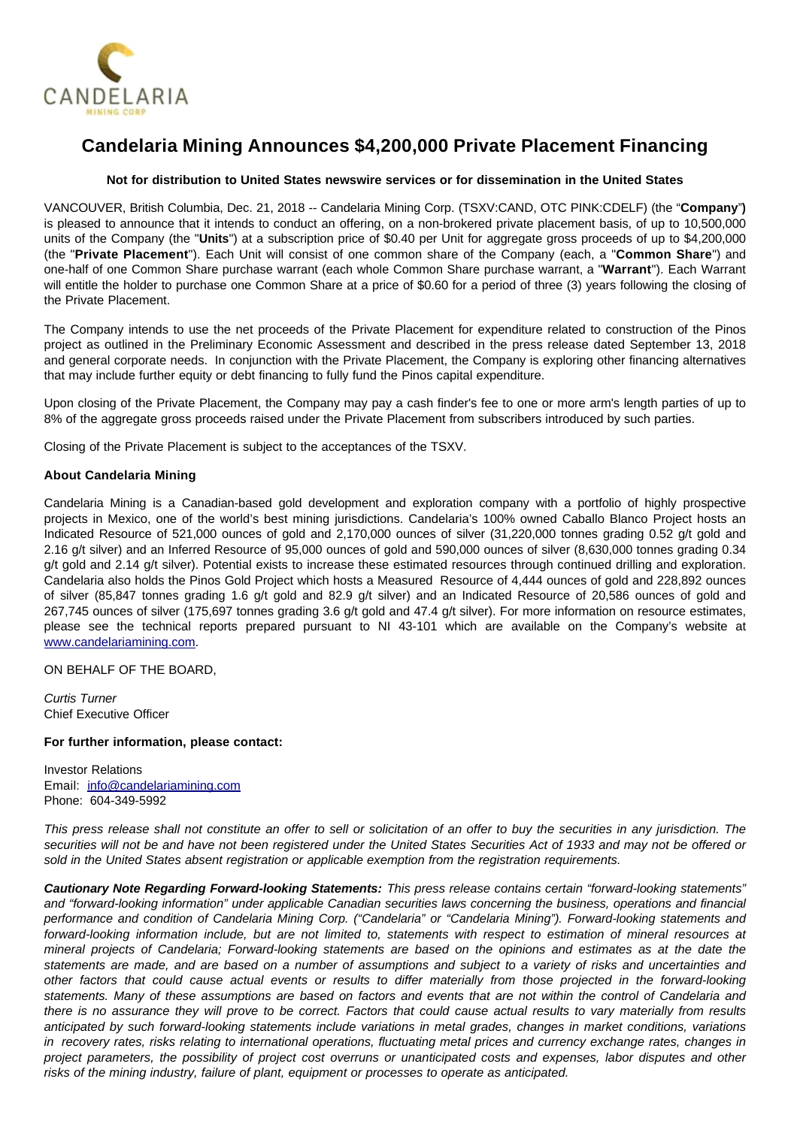

## **Candelaria Mining Announces \$4,200,000 Private Placement Financing**

## **Not for distribution to United States newswire services or for dissemination in the United States**

VANCOUVER, British Columbia, Dec. 21, 2018 -- Candelaria Mining Corp. (TSXV:CAND, OTC PINK:CDELF) (the "**Company**"**)** is pleased to announce that it intends to conduct an offering, on a non-brokered private placement basis, of up to 10,500,000 units of the Company (the "**Units**") at a subscription price of \$0.40 per Unit for aggregate gross proceeds of up to \$4,200,000 (the "**Private Placement**"). Each Unit will consist of one common share of the Company (each, a "**Common Share**") and one-half of one Common Share purchase warrant (each whole Common Share purchase warrant, a "**Warrant**"). Each Warrant will entitle the holder to purchase one Common Share at a price of \$0.60 for a period of three (3) years following the closing of the Private Placement.

The Company intends to use the net proceeds of the Private Placement for expenditure related to construction of the Pinos project as outlined in the Preliminary Economic Assessment and described in the press release dated September 13, 2018 and general corporate needs. In conjunction with the Private Placement, the Company is exploring other financing alternatives that may include further equity or debt financing to fully fund the Pinos capital expenditure.

Upon closing of the Private Placement, the Company may pay a cash finder's fee to one or more arm's length parties of up to 8% of the aggregate gross proceeds raised under the Private Placement from subscribers introduced by such parties.

Closing of the Private Placement is subject to the acceptances of the TSXV.

## **About Candelaria Mining**

Candelaria Mining is a Canadian-based gold development and exploration company with a portfolio of highly prospective projects in Mexico, one of the world's best mining jurisdictions. Candelaria's 100% owned Caballo Blanco Project hosts an Indicated Resource of 521,000 ounces of gold and 2,170,000 ounces of silver (31,220,000 tonnes grading 0.52 g/t gold and 2.16 g/t silver) and an Inferred Resource of 95,000 ounces of gold and 590,000 ounces of silver (8,630,000 tonnes grading 0.34 g/t gold and 2.14 g/t silver). Potential exists to increase these estimated resources through continued drilling and exploration. Candelaria also holds the Pinos Gold Project which hosts a Measured Resource of 4,444 ounces of gold and 228,892 ounces of silver (85,847 tonnes grading 1.6 g/t gold and 82.9 g/t silver) and an Indicated Resource of 20,586 ounces of gold and 267,745 ounces of silver (175,697 tonnes grading 3.6 g/t gold and 47.4 g/t silver). For more information on resource estimates, please see the technical reports prepared pursuant to NI 43-101 which are available on the Company's website at [www.candelariamining.com.](http://www.candelariamining.com/)

ON BEHALF OF THE BOARD,

Curtis Turner Chief Executive Officer

## **For further information, please contact:**

Investor Relations Email: [info@candelariamining.com](mailto:contact@candelariamining.com) Phone: 604-349-5992

This press release shall not constitute an offer to sell or solicitation of an offer to buy the securities in any jurisdiction. The securities will not be and have not been registered under the United States Securities Act of 1933 and may not be offered or sold in the United States absent registration or applicable exemption from the registration requirements.

**Cautionary Note Regarding Forward-looking Statements:** This press release contains certain "forward-looking statements" and "forward-looking information" under applicable Canadian securities laws concerning the business, operations and financial performance and condition of Candelaria Mining Corp. ("Candelaria" or "Candelaria Mining"). Forward-looking statements and forward-looking information include, but are not limited to, statements with respect to estimation of mineral resources at mineral projects of Candelaria; Forward-looking statements are based on the opinions and estimates as at the date the statements are made, and are based on a number of assumptions and subject to a variety of risks and uncertainties and other factors that could cause actual events or results to differ materially from those projected in the forward-looking statements. Many of these assumptions are based on factors and events that are not within the control of Candelaria and there is no assurance they will prove to be correct. Factors that could cause actual results to vary materially from results anticipated by such forward-looking statements include variations in metal grades, changes in market conditions, variations in recovery rates, risks relating to international operations, fluctuating metal prices and currency exchange rates, changes in project parameters, the possibility of project cost overruns or unanticipated costs and expenses, labor disputes and other risks of the mining industry, failure of plant, equipment or processes to operate as anticipated.